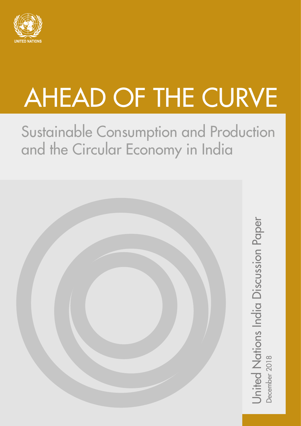

# AHEAD OF THE CURVE

Sustainable Consumption and Production and the Circular Economy in India



United Nations India Discussion Paper<br>December 2018 United Nations India Discussion Paper<br><sub>December 2018</sub>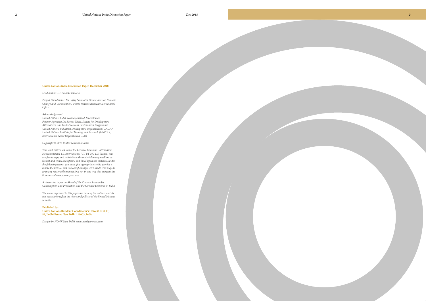#### **United Nations India Discussion Paper, December 2018**

*Lead author: Dr. Zinaida Fadeeva*

*Project Coordinator: Mr. Vijay Samnotra, Senior Advisor, Climate Change and Urbanization, United Nations Resident Coordinator's Office*

#### *Acknowledgements:*

*United Nations India: Nabila Jamshed, Swastik Das Partner Agencies: Dr. Zeenat Niazi, Society for Development Alternatives, and United Nations Environment Programme United Nations Industrial Development Organization (UNIDO) United Nations Institute for Training and Research (UNITAR) International Labor Organization (ILO)*

*Copyright © 2018 United Nations in India* 

*This work is licensed under the Creative Commons Attribution-Noncommercial 4.0. International (CC BY-NC 4.0) license. You are free to copy and redistribute the material in any medium or format and remix, transform, and build upon the material, under the following terms: you must give appropriate credit, provide a link to the license, and indicate if changes were made. You may do so in any reasonable manner, but not in any way that suggests the licensor endorses you or your use.*

*A discussion paper on Ahead of the Curve – Sustainable Consumption and Production and the Circular Economy in India*

*The views expressed in this paper are those of the authors and do not necessarily reflect the views and policies of the United Nations in India.*

#### **Published by: United Nations Resident Coordinator's Office (UNRCO) 55, Lodhi Estate, New Delhi 110003, India**

*Design: by HONK New Delhi. www.honkpartners.com*

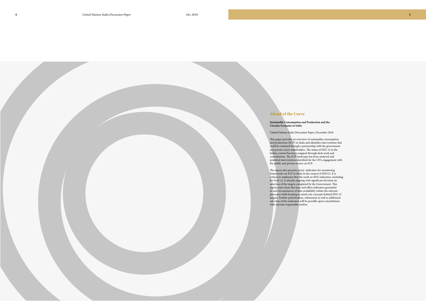#### **Ahead of the Curve**

**Sustainable Consumption and Production and the Circular Economy in India**

United Nations India Discussion Paper, December 2018

The report also presents proxy indicators for monitoring frameworks on SCP in India in the context of SDG12. It is critical to emphasise that the work on SDG indicators, including for Goal 12, is already ongoing with significant decision on selection of the targets completed by the Government. This report starts from this base and offers indicators grounded in real circumstances of data availability within the relevant processes while keeping in mind core concepts behind SDG 12 targets. Further prioritisation, refinement as well as additional selection of the indicators will be possible upon consultations with relevant responsible entities.

This paper provides an overview of sustainable consumption and production (SCP) in India and identifies interventions that could be initiated through a partnership with the government and private sector stakeholders. The status of SDG 12 in the Indian context has been mapped through desk work and consultations. The SCP landscape has been analysed and potential interventions identified for the UN's engagement with the public and private sectors on SCP.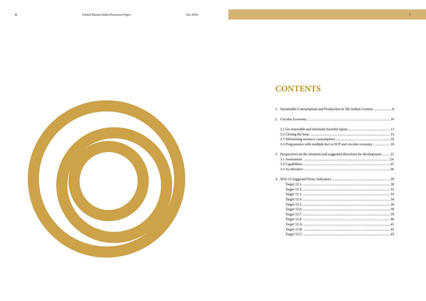# **CONTENTS**



| 2.4 Programmes with multiple         |
|--------------------------------------|
| 3. Perspectives on the situation are |
|                                      |
|                                      |
|                                      |
| 4. SDG 12 Suggested Proxy Indica     |
|                                      |
|                                      |
|                                      |
|                                      |
|                                      |
|                                      |
| Target 12.7:                         |
|                                      |
|                                      |
|                                      |
|                                      |
|                                      |
|                                      |



| d Production in The Indian Context  8      |
|--------------------------------------------|
|                                            |
|                                            |
|                                            |
|                                            |
| e foci in SCP and circular economy  18     |
| and suggested directions for development21 |
|                                            |
|                                            |
|                                            |
|                                            |
|                                            |
|                                            |
|                                            |
|                                            |
|                                            |
|                                            |
|                                            |
|                                            |

 $\overline{7}$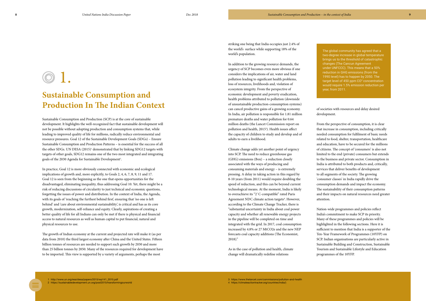# **Sustainable Consumption and Production In The Indian Context**

Sustainable Consumption and Production (SCP) is at the core of sustainable development. It highlights the well-recognized fact that sustainable development will not be possible without adopting production and consumption systems that, while leading to improved quality of life for millions, radically reduce environmental and resource pressures. Goal 12 of the Sustainable Development Goals (SDGs) – Ensure Sustainable Consumption and Production Patterns – is essential for the success of all the other SDGs. UN DESA (2015)<sup>1</sup> demonstrated that by linking SDG12 targets with targets of other goals, SDG12 remains one of the two most integrated and integrating goals of the 2030 Agenda for Sustainable Development<sup>2</sup>.

In practice, Goal 12 is more obviously connected with economic and ecological implications of growth and, more explicitly, to Goals 2, 4, 6, 7, 8, 9, 11 and 17. Goal 12 is seen from the beginning as the one that opens opportunities for the disadvantaged, eliminating inequality, thus addressing Goal 10. Yet, there might be a risk of reducing discussions of circularity to just technical and economic questions, forgetting the issues of power and distribution. In the context of India, the Agenda, with its goals of 'reaching the furthest behind first', ensuring that 'no one is left behind' and 'care about environmental sustainability', is critical and has as its core growth, modernization, self-reliance and equity. Clearly, aspirations of creating a better quality of life for all Indians can only be met if there is physical and financial access to natural resources as well as human capital to put financial, natural and physical resources to use.

Climate change adds yet another point of urgency into SCP. The need to reduce greenhouse gas (GHG) emissions (Box) – a reduction closely associated with the ways of producing and consuming materials and energy – is extremely pressing. A delay in taking action in this regard by 8-10 years (from 2011) would require doubling the speed of reduction, and this can be beyond current technological means. At the moment, India is likely to overachieve its "2˚C-compatible" rated Paris Agreement NDC climate action targets<sup>4</sup>. However, according to the Climate Change Tracker, there is "substantial uncertainty in India about coal power capacity and whether all renewable energy projects in the pipeline will be completed on time and integrated with the grid. In 2017, coal consumption increased by 4.8% or 27 MtCO2e and the new NEP forecasts coal capacity additions (The Economist,  $2018$ ."

The growth of Indian economy at the current and projected rate will make it (as per data from 2010) the third largest economy after China and the United States. Fifteen billion tonnes of resources are needed to support such growth by 2030 and more than 25 billion tonnes by 2050. Many of the resources required for development have to be imported. This view is supported by a variety of arguments, perhaps the most

striking one being that India occupies just 2.4% of the world's surface while supporting 18% of the world's population.

In addition to the growing resource demands, the urgency of SCP becomes even more obvious if one considers the implications of air, water and land pollution leading to significant health problems, loss of resources, livelihoods and, violation of ecosystem integrity. From the perspective of economic development and poverty eradication, health problems attributed to pollution (downside of unsustainable production-consumption systems) can cancel productive gains of a growing economy. In India, air pollution is responsible for 1.81 million premature deaths and water pollution for 0.64 million deaths (the Lancet Commission report on pollution and health, 2015<sup>3</sup>). Health issues affect the capacity of children to study and develop and of adults to earn a livelihood.

As in the case of pollution and health, climate change will dramatically redefine relations

of societies with resources and delay desired development.

and education, have to be secured for the millions limited to the end (private) consumers but extends India is attributed to both products and, critically, to all segments of the society. The growing

From the perspective of consumption, it is clear that increase in consumption, including critically needed consumption for fulfilment of basic needs related to food, shelter, transportation, healthcare of citizens. The concept of 'consumers' is also not to the business and private sector. Consumption in services that deliver benefits of development 'consumer classes' in India rapidly drive the consumption demands and impact the economy. The sustainability of their consumption patterns and their impacts on natural resources need greater attention.

Nation-wide programmes and policies reflect India's commitment to make SCP its priority. Many of these programmes and policies will be highlighted in the following sections. Here it is sufficient to mention that India is a supporter of the Ten-Year Framework of Programmes (10YFP) on SCP. Indian organisations are particularly active in Sustainable Building and Construction, Sustainable Tourism and Sustainable Lifestyle and Education programmes of the 10YFP.

4 https://climateactiontracker.org/countries/india/)

The global community has agreed that a two-degree increase in global temperature brings us to the threshold of catastrophic changes (The Cancun Agreement under UNFCCC). This means that a 50% reduction in GHG emissions (from the 1990 level) has to happen by 2050. The target level of 450 ppm  $CO<sup>2</sup>$  concentration would require 1.5% emission reduction per year, from 2011.

# <span id="page-4-0"></span>1.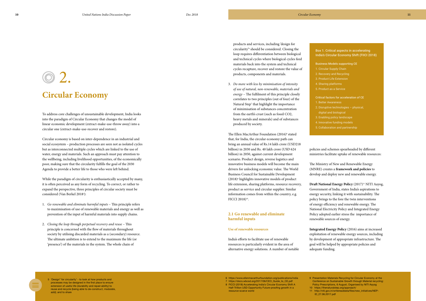## **Circular Economy**

To address core challenges of unsustainable development, India looks into the paradigm of Circular Economy that changes the model of linear economic development (extract-make-use-throw away) into a circular one (extract-make-use-recover and restore).

While the paradigm of circularity is enthusiastically accepted by many, it is often perceived as any form of recycling. To correct, or rather to expand the perspective, three principles of circular society must be considered (Van Berkel 2018<sup>5</sup>):

Circular economy is based on inter-dependence in an industrial and social ecosystem – production processes are seen not as isolated cycles but as interconnected multiple cycles which are linked to the use of water, energy and materials. Such an approach must pay attention to the wellbeing, including livelihood opportunities, of the economically poor, making sure that the circularity fulfills the goal of the 2030 Agenda to provide a better life to those who were left behind.

- 1. *Go renewable and eliminate harmful inputs* This principle refers to maximisation of use of renewable materials and energy as well as prevention of the input of harmful materials into supply chains.
- 2. *Closing the loop through perpetual recovery and reuse* This principle is concerned with the flow of materials throughout society by utilising discarded materials as a (secondary) resource. The ultimate ambition is to extend to the maximum the life (or 'presence') of the materials in the system. The whole chain of

The Ellen MacArthur Foundation (2016)<sup>8</sup> stated that, for India, the circular economy path can bring an annual value of Rs.14 lakh crore (USD218 billion) in 2030 and Rs. 40 lakh crore (USD 624 billion) in 2050, against current development scenario. Product design, reverse logistics and innovative business models will become the main drivers for unlocking economic value. The World Business Council for Sustainable Development (2018)<sup>9</sup> highlights innovative models of product life extension, sharing platforms, resource recovery, product as service and circular supplier. Similar information comes from within the country, e.g. FICCI 2018)10.

products and services, including 'design for circularity'6 should be considered. Closing the loop requires differentiation between biological and technical cycles where biological cycles feed materials back into the system and technical cycles recapture, recover and restore the value of products, components and materials.

> **Draft National Energy Policy** (2017)<sup>11</sup> NITI Aayog, Government of India, states India's aspirations to energy security, linking it with sustainability. The policy brings to the fore the twin interventions of energy efficiency and renewable energy. The National Electricity Policy and Integrated Energy Policy adopted earlier stress the importance of renewable sources of energy.

3. *Do more with less by minimisation of intensity of use of natural, non-renewable, materials and energy –* The fulfilment of this principle closely correlates to two principles (out of four) of the Natural Step<sup>7</sup> that highlight the importance of minimisation of substances concentration from the earth's crust (such as fossil CO2, heavy metals and minerals) and of substances produced by society.

#### **2.1 Go renewable and eliminate harmful inputs**

#### **Use of renewable resources**

India's efforts to facilitate use of renewable resources is particularly evident in the area of alternative energy solutions. A number of notable

policies and schemes spearheaded by different ministries facilitate uptake of renewable resources:

The Ministry of New and Renewable Energy (MNRE) creates a **framework and policies** to develop and deploy new and renewable energy.

**Integrated Energy Policy** (2016) aims at increased exploitation of renewable energy sources, including by development of appropriate infrastructure. The goal will be helped by appropriate policies and adequate funding.

5 'Design" for circularity' - to look at how products and processes may be designed in the first place to ensure extension of useful life (durability and repair-ability) to reuse and recycle (being able to de-construct, modulate, add); and to share

#### Box 1. Critical aspects in accelerating India's Circular Economy Shift (FIICI 2018)

- Business Models supporting CE
- 1. Circular Supply Chain
- 2. Recovery and Recycling
- 3. Product Life Extension
- 4. Sharing platforms
- 5. Product as a Service
- Critical factors for acceleration of CE
- 1. Better Awareness
- 2. Disruptive technologies physical,
- digital and biological
- 3. Enabling policy landscape
- 4. Innovative funding models
- 5. Collaboration and partnership

9 Presentation Materials Recycling for Circular Economy at the Conference on Sustainable Growth through Material recycling: Policy Prescriptions, 6 August, Organised by NITI Aayog 10 https://thenaturalstep.org/approach/ 11 http://niti.gov.in/writereaddata/files/new\_initiatives/NEP- ID\_27.06.2017.pdf

 https://www.ellenmacarthurfoundation.org/publications/india https://docs.wbcsd.org/2017/06/CEO\_Guide\_to\_CE.pdf FICCI (2018) Accelerating India's Circular Economy Shift A Half-Trillion USD Opportunity Future-proofing growth in a

resource-scarce world

<span id="page-5-0"></span>02.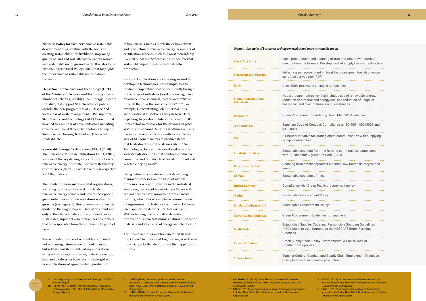<span id="page-6-0"></span>National Policy for farmers<sup>12</sup> aims at sustainable development of agriculture with the focus on creating sustainable rural livelihood, improving quality of land and soil, alternative energy sources and sustainable use of ground water. It relates to the National Agricultural Policy (2000) that highlights the importance of sustainable use of natural resources.

**Department of Science and Technology (DST) of the Ministry of Science and Technology** has a number of schemes, notably Clean Energy Research Initiative, that support SCP. To advance policy agenda, the new programmes of 2018 specified focal areas of waste management. DST supports State Science and Technology (S&T) Councils that have led to a number of novel initiatives including Cleaner and Fuel-Efficient Technologies (Punjab), Solar Passive Housing Technology (Himachal Pradesh), etc.

**Renewable Energy Certification (**RECs) (2010): The Renewable Purchase Obligations (RPO) (2010) was one of the key driving forces for promotion of renewable energy. The State Electricity Regulatory Commissions (SERCs) have defined their respective RPO Regulations.

Important applications are emerging around fast developing technologies. For example, low to medium temperature heat can be directly brought to the range of industries (food processing, dairy, pharmaceutical, chemical, leather and textiles) through the solar thermal collectors<sup>13, 14, 15</sup>. For example, Concentrating Solar Thermal units are operational at Mothers Dairy in New Delhi, deploying 16 parabolic dishes producing 120,000 litters of hot water daily for the cleaning in place system, and at Amul Dairy in Gandhinagar, using parabolic through collectors with total collector area of 615 square meters to produce steam that feeds directly into the steam system<sup>16</sup>. S4S Technologies, for example, developed advanced solar dehydration units that combine conductive, convective and radiative heat transfer for fruit and vegetable drying units<sup>17</sup>.

The number of **non-governmental** organisations, including businesses, that seek inputs about renewable energy sources and how to incorporate green initiatives into their operations is steadily growing (see Figure 1), though remains somewhat limited to the larger players. They often attend not only to the characteristics of the procured (more sustainable) input but also to practices of suppliers that are responsible from the sustainability point of view.

Using nature as a mentor is about developing manmade processes on the bases of natural processes. A recent innovation in the industrial area is engineering of horizontal gas flames with radiant heat transfer, mimicked from charcoal burning, which has recently been commercialized by Agnisumukh in India for commercial kitchens. Such application delivers 30% fuel savings<sup>18</sup>. Watsan has engineered small scale water purification system that mimics natural purification materials and avoids use of energy and chemicals<sup>19</sup>.

Taken broader, the use of renewables is focused not only using nature as mentor and as an input but within ecosystem limits. Many applications using nature as supply of water, materials, energy, land and biodiversity have recently emerged with new applications of agro-resedues, production

of biomaterials such as bioplastic or bio-solvents and production of renewable energy. A number of certification schemes, such as Forest Stewardship Council or Marine Stewardship Council, prevent sustainable input of nature materials into production.

The idea of nature as mentor also found its way into Green Chemistry and Engineering as well as in industrial parks that demonstrate their applications in India.

|                                           | Figure 1. Examples of businesses seeking renewable and more sustainable inputs                                                                           |
|-------------------------------------------|----------------------------------------------------------------------------------------------------------------------------------------------------------|
| Coca Cola India                           | Local procurement and sourcing of fruit and other<br>directly from the farmers. Development of supply o                                                  |
| <b>Hanjer Biotech Energies</b>            | Set up a green power plant in Surat that uses greer<br>as refuse derived fuel (RDF)                                                                      |
| Levis                                     | Uses 100% renewable energy in its facilities                                                                                                             |
| Godrej Industries and<br><b>Chemicals</b> | Has a procurement policy that includes use of rene<br>reduction of material and energy use, and reductio<br>hazardous and toxic materials and substances |
| Panasonic                                 | Green Procurement Standards, Green Plan 2018 in                                                                                                          |
| <b>ABB</b> India Ltd.                     | Suppliers Code of Conduct, Compliance to ISO 900<br><b>ISO 18001</b>                                                                                     |
| <b>ITC</b>                                | E-Choupal initiative facilitating direct communicati<br>village communities                                                                              |
| <b>Hindustan Unilever</b>                 | Sustainable sourcing from the farming communitie<br>with "Sustainable Agriculture Code (SAC)"                                                            |
| Ikea India Pvt. Ltd.                      | Sourcing from smaller producers in India; raw mate<br>reuse.                                                                                             |
| <b>L'Oréal</b>                            | Sustainable sourcing of mica                                                                                                                             |
| <b>Indian Railways</b>                    | Compliance with Green Public procurement policy                                                                                                          |
| Godrej                                    | Sustainable Procurement Policy                                                                                                                           |
| <b>Hindalco Industries Ltd</b>            | Sustainable Procurement Policy                                                                                                                           |
| Maruti Suzuki India Ltd                   | Green Procurement Guidelines for suppliers                                                                                                               |
| <b>Nestlé India</b>                       | Established Supplier Code and Responsible Sourci<br>(RSG); plans to train farmers on the NESCAFÉ Bett<br>Practices                                       |
| <b>Larsen &amp; Toubro</b>                | Green Supply Chain Policy, Environmental & Social<br><b>Conduct for Suppliers</b>                                                                        |
| <b>Subway India</b>                       | Supplier Code of Conduct and Supply Chain Emplo<br>Policy to ensure sustainable production                                                               |

| Local procurement and sourcing of fruit and other raw materials<br>directly from the farmers. Development of supply chain infrastructure.                                          |
|------------------------------------------------------------------------------------------------------------------------------------------------------------------------------------|
| Set up a green power plant in Surat that uses green fuel also known<br>as refuse derived fuel (RDF)                                                                                |
| Uses 100% renewable energy in its facilities                                                                                                                                       |
| Has a procurement policy that includes use of renewable energy,<br>reduction of material and energy use, and reduction of usage of<br>hazardous and toxic materials and substances |
| Green Procurement Standards, Green Plan 2018 initiative.                                                                                                                           |
| Suppliers Code of Conduct, Compliance to ISO 9001, ISO14001 and<br>ISO 18001                                                                                                       |
| E-Choupal initiative facilitating direct communication with supplying<br>village communities                                                                                       |
| Sustainable sourcing from the farming communities; compliance<br>with "Sustainable Agriculture Code (SAC)"                                                                         |
| Sourcing from smaller producers in India; raw materials recycle and<br>reuse.                                                                                                      |
| Sustainable sourcing of mica                                                                                                                                                       |
| Compliance with Green Public procurement policy                                                                                                                                    |
| Sustainable Procurement Policy                                                                                                                                                     |
| Sustainable Procurement Policy                                                                                                                                                     |
| Green Procurement Guidelines for suppliers                                                                                                                                         |
| Established Supplier Code and Responsible Sourcing Guidelines<br>(RSG); plans to train farmers on the NESCAFÉ Better Farming<br>Practices                                          |
| Green Supply Chain Policy, Environmental & Social Code of<br><b>Conduct for Suppliers</b>                                                                                          |
| Supplier Code of Conduct and Supply Chain Employment Practices                                                                                                                     |

#### *Figure 1. Examples of businesses seeking renewable and more sustainable inputs*

- 16 Van Berkel, R. (2018). Solar Heat for Industrial Processes. Renewable Energy Invest 2018. Noida: Ministry of New and Renewable Energy.
- 17 UNIDO. (2018). A compendium of clean technology innovations in India. New Delhi: United Nations Industrial Development Organization.
- 12 http://agricoop.nic.in/sites/default/files/npff2007%20 %281%29.pdf 13 IRENA. (2015). Solar Heat for Industrial Processes:
- technology brief. Abu Dhabi: International Renewable Energy Agency.
- 14 UNIDO. (2017). Reducing pollution load in leather processing - demonstrating cleaner technologies in Kanpur India. New Delhi: United Nations Industrial Development **Organization**
- 15 UNIDO. (2017). Circular Economy. Vienna: United Nations Industrial Development Organization.

18 UNIDO. (2018). A compendium of clean technology innovations in India. New Delhi: United Nations Industrial Development Organization. 19 UNIDO. (2018). A compendium of clean technology

 innovations in India. New Delhi: United Nations Industrial Development Organization.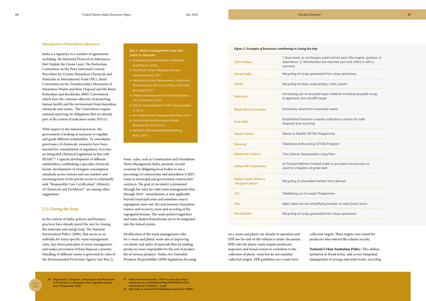#### <span id="page-7-0"></span>**Management of Hazardous Substances**

India is a signatory to a number of agreements including t[he Montreal Protocol on Substances](https://archive.epa.gov/oswer/international/web/html/200610-international-chemical-hazards.html#montreal)  [that Deplete the Ozone Lay](https://archive.epa.gov/oswer/international/web/html/200610-international-chemical-hazards.html#montreal)[er, The Rotterdam](https://archive.epa.gov/oswer/international/web/html/200610-international-chemical-hazards.html#rotterdam)  [Convention on the Prior Informed Consent](https://archive.epa.gov/oswer/international/web/html/200610-international-chemical-hazards.html#rotterdam)  [Procedure for Certain Hazardous Chemicals and](https://archive.epa.gov/oswer/international/web/html/200610-international-chemical-hazards.html#rotterdam)  [Pesticides in International Trade \(PI](https://archive.epa.gov/oswer/international/web/html/200610-international-chemical-hazards.html#rotterdam)C[\), Basel](https://archive.epa.gov/oswer/international/web/html/200610-international-chemical-hazards.html#basel)  [Convention on the Transboundary Movement of](https://archive.epa.gov/oswer/international/web/html/200610-international-chemical-hazards.html#basel)  [Hazardous Wastes and their Dispo](https://archive.epa.gov/oswer/international/web/html/200610-international-chemical-hazards.html#basel)sal and the Basel, Rotterdam and Stockholm (BRS) Conventions which have the common objective of protecting human health and the environment from hazardous chemicals and wastes. The Conventions require national reporting on obligations that are already part of the system of indicators under SDG12.

With respect to the national practices, the government is looking at measures to regulate and guide different stakeholders. To consolidate governance of chemicals, measures have been mooted for consolidation of regulatory Acts into an Integrated Chemical Legislation in line with REARC20. Capacity development of different stakeholders, establishing a specialty chemicals forum, development of stringent consumption standards across various end-use markets and encouragement of the private sector to voluntarily seek "Responsible Care Certification" (Ministry of Chemicals and Fertilizers)<sup>21</sup> are among other suggestions.

#### **2.2 Closing the loop**

In the context of India, policies and business practices have already paved the way for closing the materials and energy loop. The National Environment Policy (2006), that serves as an umbrella for many specific waste management rules, lays down principles of waste management, and makes prevention of final disposal a priority. Handling of different wastes is governed by rules of the Environmental Protection Agency (see Box 2).

- Management and Handling of Municipal Solid Waste (2000),
- The Plastic Waste (Management and Handling) Rules, 2011
- **e** Hazardous Waste (Management, Handling & Transboundary Movement) Rules, 2008 (last amended 2010)
- E-Waste (Management and Handling) Rules, 2011 (amended 2016)
- $\bullet$  The Fly Ash Notification (1999, last amended in 2016)
- **Bio-medical Waste Management Rules, 2016**
- Construction and Demolition Waste Management Rules 2016
- Batteries (Management and Handling) Rules, 2001

Some rules, such as Construction and Demolition Waste Management Rules, promote circular economy by obligating local bodies to use a percentage of construction and demolition (C&D) waste in municipal and government construction contracts. The goal of circularity is promoted through the rules for solid waste management that, through  $2016^{22}$  amendments, is now applicable beyond municipal areas and mandates source segregation (into wet, dry and domestic hazardous wastes) and recovery, reuse and recycling of the segregated streams. The waste pickers/ragpickers and waste dealers/*Kabadiwalas* are to be integrated into the formal system.

- 21 Indian chemical industry XIIth five year plan (http:// chemicals.nic.in/sites/default/files/XIIth%20Five%20 Year%20Plan-Yr%202011\_0.pdf)
- 22 http://pib.nic.in/newsite/PrintRelease.aspx?relid=138591

Modification of the waste management rules for e-waste and plastic waste aim at improving circularity and safety of materials flow by making producers more responsible for the end of product life of various products. Today, two Extended Producer Responsibility (EPR) legislations focusing

Box 2. Waste management rules that relate to disposal:

| <b>TATA Motors</b>                                  | 1. Buys back, or exchanges used vehicle parts like e<br>alternators. 2. Refurbishes the returned part and of<br>warranty. |
|-----------------------------------------------------|---------------------------------------------------------------------------------------------------------------------------|
| <b>Maruti India</b>                                 | Recycling of scrap generated from shop operations                                                                         |
| <b>Nissan</b>                                       | Recycling of steel, soda bottles, cloth, plastic                                                                          |
| <b>Mahindra</b>                                     | Increasing use of recycled input material including<br>to approach zero landfill target                                   |
| <b>Hanjer Biotech energies</b>                      | Extracting value from municipal waste                                                                                     |
| <b>Sony India</b>                                   | Established fourteen e-waste collections centres fo<br>disposal and recycling                                             |
| PepsiCo India                                       | Waste to Wealth (WTW) Programme                                                                                           |
| <b>Samsung</b>                                      | Take-Back & Recycling (STAR) Program                                                                                      |
| <b>Hindustan Unilever</b>                           | The Unilever Sustainable Living Plan                                                                                      |
| <b>Indian Oil Corporation</b>                       | At Panipat Refinery treated water is put back into p<br>used for irrigation of green belt                                 |
| <b>Indian Textile Industry</b><br>(Panipat Cluster) | Recycling of discarded textiles from abroad                                                                               |
| <b>ITC</b>                                          | 'Wellbeing out of waste' Programme                                                                                        |
| eBay                                                | eBay Valet service simplifying transfer of used (free                                                                     |
| <b>Maruti India</b>                                 | Recycling of scrap generated from shop operations                                                                         |

| 1. Buys back, or exchanges used vehicle parts like engine, gearbox or<br>alternators. 2. Refurbishes the returned part and offers it with a<br>warranty. |
|----------------------------------------------------------------------------------------------------------------------------------------------------------|
| Recycling of scrap generated from shop operations                                                                                                        |
| Recycling of steel, soda bottles, cloth, plastic                                                                                                         |
| Increasing use of recycled input material including recycled scrap,<br>to approach zero landfill target                                                  |
| Extracting value from municipal waste                                                                                                                    |
| Established fourteen e-waste collections centres for safe<br>disposal and recycling                                                                      |
| Waste to Wealth (WTW) Programme                                                                                                                          |
| Take-Back & Recycling (STAR) Program                                                                                                                     |
| The Unilever Sustainable Living Plan                                                                                                                     |
| At Panipat Refinery treated water is put back into process or<br>used for irrigation of green belt                                                       |
| Recycling of discarded textiles from abroad                                                                                                              |
| 'Wellbeing out of waste' Programme                                                                                                                       |
| eBay Valet service simplifying transfer of used (free) items                                                                                             |
| Recycling of scrap generated from shop operations                                                                                                        |

|  | Figure 2. Examples of businesses contributing to closing the loop |  |  |  |
|--|-------------------------------------------------------------------|--|--|--|
|--|-------------------------------------------------------------------|--|--|--|

on e-waste and plastic are already in operation and EPR law for end-of-life vehicles is under discussion. EPR rules for plastic waste require producers, importers and brand owners to contribute to the collection of plastic waste but do not mandate collection targets. EPR guidelines on e-waste have

20 Registration, Evaluation, Authorisation and Restriction of Chemicals is a European Union regulation dating from 18 December 2006

collection targets. These targets were raised for producers who entered the scheme recenty.

**National Urban Sanitation Policy:** This defines sanitation in broad terms, and covers integrated management of sewage and solid waste, recycling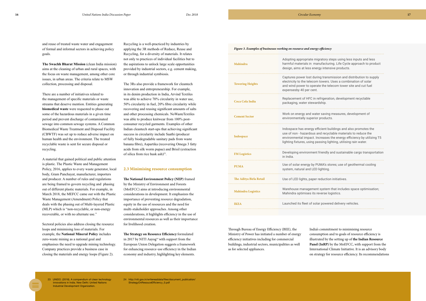<span id="page-8-0"></span>and reuse of treated waste water and engagement of formal and informal sectors in achieving policy goals.

**The Swachh Bharat Mission** (clean India mission) aims at the cleaning of urban and rural spaces, with the focus on waste management, among other core issues, in urban areas. The criteria relate to MSW collection, processing and disposal.

There are a number of initiatives related to the management of specific materials or waste streams that deserve mention. Entities generating **biomedical waste** were requested to phase out some of the hazardous materials in a given time period and prevent discharge of contaminated sewage into common sewage systems. A Common Biomedical Waste Treatment and Disposal Facility (CBWTF) was set up to reduce adverse impact on human health and the environment. The treated recyclable waste is sent for secure disposal or recycling.

The 3Rs also provide a framework for cleantech innovation and entrepreneurship. For example, in its denim production in India, Arvind Textiles was able to achieve 70% circularity in water use, 50% circularity in fuel, 20% fibre circularity while recovering and reusing significant amounts of salts and other processing chemicals. NoWasteTextiles was able to produce knitwear from 100% postconsumer recycled garments. Examples of other Indian cleantech start-ups that achieving significant success in circularity include Saathi (producer of fully biodegradable sanitary pads from waste banana fibre), Aspartika (recovering Omega 3 fatty acids from silk worm pupae) and Brisil (extraction of silica from rice husk ash)<sup>23</sup>.

A material that gained political and public attention is plastic. The Plastic Waste and Management Policy, 2016, applies to every waste generator, local body, Gram Panchayat, manufacturer, importers and producer. A number of rules and regulations are being framed to govern recycling and phasing out of different plastic materials. For example, in March 2018, the MEFCC came out with the Plastic Waste Management (Amendment) Policy that deals with the phasing out of Multi-layered Plastic (MLP) which is "non-recyclable, or non-energy recoverable, or with no alternate use."

Sectoral policies also address closing the resource loops and minimising loss of materials. For example, the **National Mineral Policy** includes zero-waste mining as a national goal and emphasises the need to upgrade mining technology. Company practices provide a business case in closing the materials and energy loops (Figure 2).

Recycling is a well-practiced by industries by applying the 3R methods of Reduce, Reuse and Recycling, for a diversity of materials. It relates not only to practices of individual facilities but to the aspirations to unlock large scale opportunities provided by industrial sectors, e.g. cement making, or through industrial symbiosis.

#### **2.3 Minimising resource consumption**

**The [National Environment Policy \(NEP\)](http://www.envfor.nic.in/nep/nep2006e.pdf)** framed by the [Ministry of Environment and Forests](http://moef.nic.in/index.php)  [\(MoEFCC\)](http://moef.nic.in/index.php) aims at introducing environmental considerations in development. It emphasizes the importance of preventing resource degradation, equity in the use of resources and the need for multi-stakeholder approaches. Among other considerations, it highlights efficiency in the use of environmental resources as well as their importance for livelihood creation.

**The Strategy on Resource Efficiency** formulated in 2017 by NITI Aayog<sup>24</sup> with support from the European Union Delegation suggests a framework for enhancing resource-use efficiency in the Indian economy and industry, highlighting key elements.

| Mahindra                  | Adopting appropriate migratory steps using less inpu<br>harmful materials in manufacturing. Life Cycle appro<br>design, aims at less energy intensive products.                                                                       |
|---------------------------|---------------------------------------------------------------------------------------------------------------------------------------------------------------------------------------------------------------------------------------|
| <b>Towering Heights</b>   | Captures power lost during transmission and distribu<br>electricity to the telecom towers. Uses a combinatior<br>and wind power to operate the telecom tower site an<br>expensesby 40 per cent.                                       |
| <b>Coca Cola India</b>    | Replacement of HFC in refrigeration, development re<br>packaging, water stewardship.                                                                                                                                                  |
| <b>Cement Sector</b>      | Work on energy and water saving measures, develop<br>environmentally superior products.                                                                                                                                               |
| Indospace                 | Indospace has energy efficient buildings and also pro<br>use of non - hazardous and recyclable materials to re<br>environmental impact. Increases the energy efficienc<br>lighting fixtures, using passing lighting, utilising rain \ |
| <b>FM Logistics</b>       | Developing environment friendly and sustainable car<br>in India.                                                                                                                                                                      |
| <b>PUMA</b>               | Use of solar energy by PUMA's stores; use of geother<br>system, natural and LED lighting.                                                                                                                                             |
| The Aditya Birla Retail   | Use of LED lights, paper reduction initiatives.                                                                                                                                                                                       |
| <b>Mahindra Logistics</b> | Warehouse management system that includes space<br>Mahindra optimises its reverse logistics.                                                                                                                                          |
| <b>IKEA</b>               | Launched its fleet of solar powered delivery vehicles.                                                                                                                                                                                |
|                           |                                                                                                                                                                                                                                       |

| Adopting appropriate migratory steps using less inputs and less<br>harmful materials in manufacturing. Life Cycle approach to product<br>design, aims at less energy intensive products.                                                                                     |
|------------------------------------------------------------------------------------------------------------------------------------------------------------------------------------------------------------------------------------------------------------------------------|
| Captures power lost during transmission and distribution to supply<br>electricity to the telecom towers. Uses a combination of solar<br>and wind power to operate the telecom tower site and cut fuel<br>expensesby 40 per cent.                                             |
| Replacement of HFC in refrigeration, development recyclable<br>packaging, water stewardship.                                                                                                                                                                                 |
| Work on energy and water saving measures, development of<br>environmentally superior products.                                                                                                                                                                               |
| Indospace has energy efficient buildings and also promotes the<br>use of non - hazardous and recyclable materials to reduce the<br>environmental impact. Increases the energy efficiency by utilizing T5<br>lighting fixtures, using passing lighting, utilising rain water. |
| Developing environment friendly and sustainable cargo transportation<br>in India.                                                                                                                                                                                            |
| Use of solar energy by PUMA's stores; use of geothermal cooling<br>system, natural and LED lighting.                                                                                                                                                                         |
| Use of LED lights, paper reduction initiatives.                                                                                                                                                                                                                              |
| Warehouse management system that includes space optimisation;<br>Mahindra optimises its reverse logistics.                                                                                                                                                                   |
| Launched its fleet of solar powered delivery vehicles.                                                                                                                                                                                                                       |

#### *Figure 3. Examples of businesses working on resource and energy efficiency*

Through Bureau of Energy Efficiency (BEE), the Ministry of Power has initiated a number of energy efficiency initiatives including for commercial buildings, industrial sectors, municipalities as well as for selected appliances.

India's commitment to minimising resource consumption and to goals of resource efficiency is illustrated by the setting up of **the Indian Resource Panel (InRP)** by the MoEFCC, with support from the International Climate Initiative. It is an advisory body on strategy for resource efficiency. Its recommendations

23 UNIDO. (2018). A compendium of clean technology innovations in India. New Delhi: United Nations Industrial Development Organization.

24 http://niti.gov.in/writereaddata/files/document\_publication/ StrategyOnResouceEfficiency\_0.pdf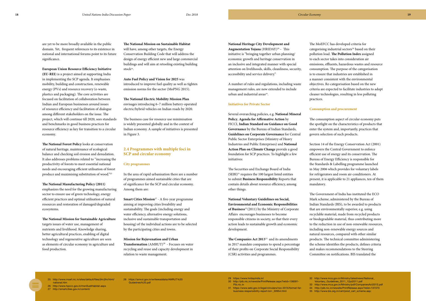are yet to be more broadly available in the public domain. Yet, frequent references to its existence in national and international forums point to its future significance.

**European Union Resource Efficiency Initiative (EU-REI**) is a project aimed at supporting India in implementing the SCP agenda. It emphasises mobility, building and construction, renewable energy (PVs) and resource recovery (e-waste, plastics and packaging). The core activities are focused on facilitation of collaboration between Indian and European businesses around issues of resource efficiency and facilitation of dialogue among different stakeholders on the issue. The project, which will continue till 2020, sees standards and benchmarks in good business practices for resource efficiency as key for transition to a circular economy.

**The National Forest Policy** looks at conservation of natural heritage, maintenance of ecological balance and checking soil erosion and denudation. It also addresses problems related to "increasing the productivity of forests to meet essential national needs and encouraging efficient utilisation of forest produce and maximising substitution of wood."25

A number of rules and regulations, including waste management rules, are now extended to include urban and industrial areas<sup>30</sup>.

**The National Manufacturing Policy (2011)** emphasizes the need for the growing manufacturing sector to ensure use of green technology, energy efficient practices and optimal utilisation of natural resources and restoration of damaged/degraded ecosystems.

**The National Mission for Sustainable Agriculture** targets issues of water use, management of nutrients and livelihood. Knowledge sharing, better agricultural practices, enabling of digital technology and regenerative agriculture are seen as elements of circular economy in agriculture and food production.

**The National Mission on Sustainable Habitat** will have, among other targets, the Energy Conservation Building Code that will address the design of energy efficient new and large commercial buildings and will aim at retooling existing building stock<sup>26</sup>.

**National Heritage City Development and Augmentation Yojana** (HRIDAY)<sup>29</sup> – This initiative is "bringing together urban planning/ economic growth and heritage conservation in an inclusive and integrated manner with special attention on livelihoods, skills, cleanliness, security, accessibility and service delivery."

#### **Initiatives for Private Sector**

**Smart Cities Mission<sup>27</sup>** - A five-year programme aiming at improving cities liveability and sustainability. The goals (including energy and water efficiency, alternative energy solutions, inclusive and sustainable transportation and housing) of the individual actions are to be selected by the participating cities and towns.

**Transformation** (AMRUT)<sup>28</sup> - Focuses on water recycling and reuse and capacity development in relation to waste management.

Several overarching policies, e.g. **National Mineral Policy**, **Agenda for Affirmative Action** by FICCI, **Indian Standard on Guidance on Good Governance** by the Bureau of Indian Standards, **Guidelines on Corporate Governance** for Central Public Sector Enterprises (Ministry of Heavy Industries and Public Enterprises) and **National Action Plan on Climate Change** provide a good foundation for SCP practices. To highlight a few initiatives:

The Securities and Exchange Board of India  $(SEBI)^{31}$  requires the 100 largest listed entities to submit **Business Responsibility** Reports that contain details about resource efficiency, among other things.

**National Voluntary Guidelines on Social, Environmental and Economic Responsibilities of Business**32 (2011) by the Ministry of Corporate Affairs encourages businesses to become responsible citizens in society, so that their every action leads to sustainable growth and economic development.

**The Companies Act 2013**33 and its amendments in 2017 mandate companies to spend a percentage of their profits on Corporate Social Responsibility (CSR) activities and programmes.

**Auto Fuel Policy and Vision for 2025** was introduced to improve fuel quality as well as tighten emission norms for the sector (MoPNG 2015).

**The National Electric Mobility Mission Plan** envisages introducing 6–7 million battery-operated electric/hybrid vehicles on Indian roads by 2020.

The business case for resource use minimisation is widely presented globally and in the context of Indian economy. A sample of initiatives is presented in Figure 3.

### **2.4 Programmes with multiple foci in SCP and circular economy**

#### **City programmes**

In the area of rapid urbanisation there are a number of programmes aimed sustainable cities that are of significance for the SCP and circular economy. Among them are:

#### **Mission for Rejuvenation and Urban**

The MoEFCC has developed criteria for categorising industrial sectors<sup>34</sup> based on their pollution load. **The Pollution Index** assigned to each sector takes into consideration air emissions, effluents, hazardous wastes and resource consumption. The purpose of the categorisation is to ensure that industries are established in a manner consistent with the environmental objectives. Re-categorisation based on the new criteria are expected to facilitate industries to adopt cleaner technologies, resulting in less polluting

practices.

### **Consumption and procurement**

The consumption aspect of circular economy puts the spotlight on the characteristics of products that enter the system and, importantly, practices that govern selection of such products.

Section 14 of the Energy Conservation Act (2001) empowers the Central Government to enforce efficient use of energy and its conservation. The Bureau of Energy Efficiency is responsible for the Standards & Labelling programme launched in May 2006 which provides for voluntary labels for refrigerators and room air-conditioners. At present, it is applicable to 21 appliances, ten of them mandatory.

The Government of India has instituted the ECO Mark scheme, administered by the Bureau of Indian Standards (BIS), to be awarded to products that are environmentally superior, e.g. using recyclable material, made from recycled products or biodegradable material, thus contributing more to the reduction in use of non-renewable resources, including non-renewable energy sources and natural resources, compared with other similar products. The technical committee administering the scheme identifies the products, defines criteria and makes recommendations to the Steering Committee on notifications. BIS translated the

national.htm

- 25 http://www.moef.nic.in/sites/default/files/jfm/jfm/html/
- 26 http://www.hpccc.gov.in/msnSustHabitat.aspx 27 http://smartcities.gov.in/content/
- 29 https://www.hridayindia.in/
- 30 http://pib.nic.in/newsite/PrintRelease.aspx?relid=138591- Pib.nic.in
- 31 https://www.sebi.gov.in/legal/circulars/nov-2015/format-for business-responsibility-report-brr-\_30954.html

28 https://amrut.gov.in/writereaddata/AMRUT%20 Guidelines%20.pdf

32 http://www.mca.gov.in/Ministry/latestnews/National\_ Voluntary\_Guidelines\_2011\_12jul2011.pdf 33 http://www.mca.gov.in/Ministry/pdf/CompaniesAct2013.pdf 34 http://pib.nic.in/newsite/PrintRelease.aspx?relid=137373 35 [http://www.bis.org.in/cert/prod\\_cert\\_scheme.asp;](http://www.bis.org.in/cert/prod_cert_scheme.asp)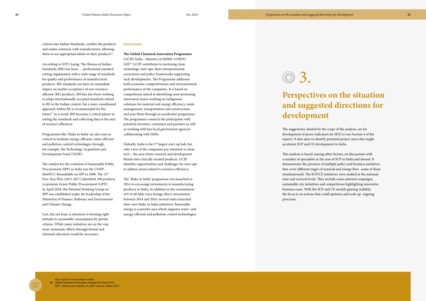According to NITI Aayog, "the Bureau of Indian Standards (BIS) has been … professional standard setting organisation with a wide range of standards for quality and performance of manufactured products. BIS standards can have an immediate impact on market acceptance of new resourceefficient (RE) products. BIS has also been working to adapt internationally accepted standards related to RE to the Indian context, but a more coordinated approach within RE is recommended for the future." As a result, BIS becomes a critical player in setting the standards and collecting data in the area of resource efficiency.

Programmes like 'Make in India' are also seen as critical to facilitate energy-efficient, water-efficient and pollution control technologies through, for example, the Technology Acquisition and Development Fund (TADF).

The catalyst for the evolution of Sustainable Public Procurement (SPP) in India was the UNEP-MoEFCC Roundtable on SPP in 2008. The 12th Five-Year Plan (2012-2017) identified 100 products to promote Green Public Procurement (GPP). In April 2018, the National Working Group on SPP was established under the leadership of the Ministries of Finance, Railways and Environment and Climate Change.

Globally, India is the  $3<sup>rd</sup>$  largest start-up hub, but only a few of the companies pay attention to clean tech – the area where research and development blends into critically needed products. GCIP identifies opportunities and challenges for start-ups to address issues related to resource efficiency.

Last, but not least, is attention to forming right attitude to sustainable consumption by private citizens. While many initiatives are on the way, more systematic efforts through formal and informal education would be necessary.

#### **Innovations**

**The Global Cleantech Innovation Programme**  (GCIP) India - Ministry of MSME-UNIDO-GEF36 GCIP contributes to nurturing clean technology start-ups, their entrepreneurial ecosystems and policy frameworks supporting such developments. The Programme addresses both economic competitiveness and environmental performance of the companies. It is based on competitions aimed at identifying most promising innovation teams working on indigenous solutions for material and energy efficiency, waste management, transportation and construction, and puts them through an accelerator programme. The programme connects the participants with potential investors, customers and partners as well as working with key local government agencies collaborating with SMEs.

The 'Make in India' programme was launched in 2014 to encourage investments in manufacturing products in India. In addition to the commitment of  $\bar{\tau}$  16.40 lakh crore foreign direct investments between 2014 and 2016, several states launched their own Make in India initiatives. Renewable energy is a priority area which supports water- and energy-efficient and pollution control technologies. The suggestions, limited by the scope of the analysis, are for development of proxy indicators for SDG12 (see Section 4 of the report). It also aims to identify potential project areas that might accelerate SCP and CE development in India.

# **Perspectives on the situation and suggested directions for development** 3.

This analysis is based, among other factors, on discussions with a number of specialists in the area of SCP in India and abroad. It demonstrates the presence of multiple policy and business initiatives that cover different stages of material and energy flow , some of them simultaneously. The SCP/CE initiatives were studied at the national, state and sectoral levels. They include some national campaigns, sustainable city initiatives and competitions highlighting innovative business cases. With the SCP and CE models gaining visibility*,*  the focus is on actions that could optimise and scale up ongoing processes.

criteria into Indian Standards, certifies the products and makes contracts with manufacturers, allowing them to use appropriate labels on their products $35$ .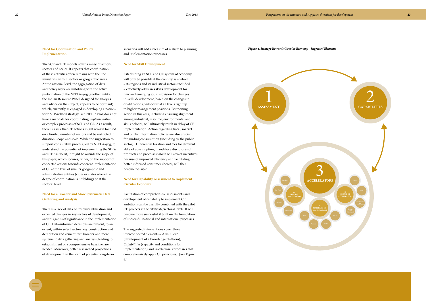#### <span id="page-11-0"></span>**Need for Coordination and Policy Implementation**

The SCP and CE models cover a range of actions, sectors and scales. It appears that coordination of these activities often remains with the line ministries, within sectors or geographic areas. At the national level, the aggregation of data and policy work are unfolding with the active participation of the NITI Aayog (another entity, the Indian Resource Panel, designed for analysis and advice on the subject, appears to be dormant) which, currently, is engaged in developing a nationwide SCP-related strategy. Yet, NITI Aayog does not have a mandate for coordinating *implementation* or complex processes of SCP and CE. As a result, there is a risk that CE actions might remain focused on a limited number of sectors and be restricted in duration, scope and scale. While the suggestion to support consultative process, led by NITI Aayog, to understand the potential of implementing the SDGs and CE has merit, it might be outside the scope of this paper, which focuses, rather, on the support of concerted actions towards coherent implementation of CE at the level of smaller geographic and administrative entities (cities or states where the degree of coordination is unfolding) or at the sectoral level.

#### **Need for a Broader and More Systematic Data Gathering and Analysis**

There is a lack of data on resource utilisation and expected changes in key sectors of development, and this gap is of significance in the implementation of CE. Data-informed decisions are present, to an extent, within select sectors, e.g. construction and demolition and cement. Yet, broader and more systematic data gathering and analysis, leading to establishment of a comprehensive baseline, are needed. Moreover, better researched projections of development in the form of potential long-term

scenarios will add a measure of realism to planning and implementation processes.

#### **Need for Skill Development**

Establishing an SCP and CE system of economy will only be possible if the country as a whole – its regions and its industrial sectors included – effectively addresses skills development for new and emerging jobs. Provision for changes in skills development, based on the changes in qualifications, will occur at all levels right up to higher management positions. Postponing action in this area, including ensuring alignment among industrial, resource, environmental and skills policies, will ultimately result in delay of CE implementation. Action regarding fiscal, market and public information policies are also crucial for guiding consumption (including by the public sector). Differential taxation and fees for different slabs of consumption, mandatory disclosures of products and processes which will attract incentives because of improved efficiency and facilitating better informed consumer choices, will then become possible.

#### **Need for Capability Assessment to Implement Circular Economy**

Facilitation of comprehensive assessments and development of capability to implement CE ambitions can be usefully combined with the pilot CE projects at the city/state/sectoral levels. It will become more successful if built on the foundation of successful national and international processes.

The suggested interventions cover three interconnected elements – *Assessment* (development of a knowledge platform), *Capabilities* (capacity and conditions for implementation) and *Accelerators* (processes that comprehensively apply CE principles). [*See Figure 4]*



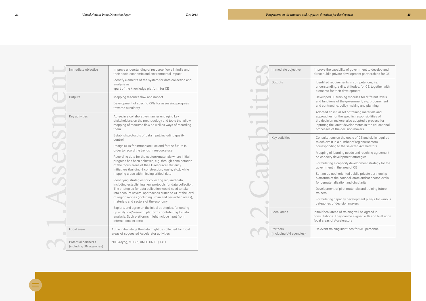| Immediate objective                            | Improve understanding of resource flows in India and<br>their socio-economic and environmental impact<br>Identify elements of the system for data collection and<br>analysis as<br>vpart of the knowledge platform for CE                                                                                                                    |
|------------------------------------------------|----------------------------------------------------------------------------------------------------------------------------------------------------------------------------------------------------------------------------------------------------------------------------------------------------------------------------------------------|
| Outputs                                        | Mapping resource flow and impact<br>Development of specific KPIs for assessing progress<br>towards circularity                                                                                                                                                                                                                               |
| Key activities                                 | Agree, in a collaborative manner engaging key<br>stakeholders, on the methodology and tools that allow<br>mapping of resource flow as well as ways of recording<br>them                                                                                                                                                                      |
|                                                | Establish protocols of data input, including quality<br>control                                                                                                                                                                                                                                                                              |
|                                                | Design KPIs for immediate use and for the future in<br>order to record the trends in resource use                                                                                                                                                                                                                                            |
|                                                | Recording data for the sectors/materials where initial<br>progress has been achieved, e.g. through consideration<br>of the focus areas of the EU-resource Efficiency<br>Initiatives (building & construction, waste, etc.), while<br>mapping areas with missing critical data                                                                |
|                                                | Identifying strategies for collecting required data,<br>including establishing new protocols for data collection.<br>The strategies for data collection would need to take<br>into account several approaches suited to CE at the level<br>of regions/cities (including urban and peri-urban areas),<br>materials and sectors of the economy |
|                                                | Explore, and agree on the initial strategies, for setting<br>up analytical/research platforms contributing to data<br>analysis. Such platforms might include input from<br>international experts                                                                                                                                             |
| Focal areas                                    | At the initial stage the data might be collected for focal<br>areas of suggested Accelerator activities                                                                                                                                                                                                                                      |
| Potential partnerzs<br>(including UN agencies) | NITI Aayog, MOSPI, UNEP, UNIDO, FAO                                                                                                                                                                                                                                                                                                          |

direct public-private development partnerships for CE



- understanding, skills, attitudes, for CE, together with elements for their development
- Developed CE training modules for different levels and functions of the government, e.g. procurement and contracting, policy making and planning
- Adopted an initial set of training materials and approaches for the specific responsibilities of the decision makers; also adopted a process for inputting the latest developments in the educational processes of the decision makers.
- Key activities **Consultations on the goals of CE and skills required** to achieve it in a number of regions/sectors corresponding to the selected Accelerators
	- Mapping of learning needs and reaching agreement on capacity development strategies
	- Formulating a capacity development strategy for the government in the area of CE
	- Setting up goal-oriented public-private partnership platforms at the national, state and/or sector levels for dematerialisation and circularity
	- Development of pilot materials and training future
	- Formulating capacity development plan/s for various categories of decision makers
	- consultations. They can be aligned with and built upon focal areas of Accelerators

Relevant training institutes for IAC personnel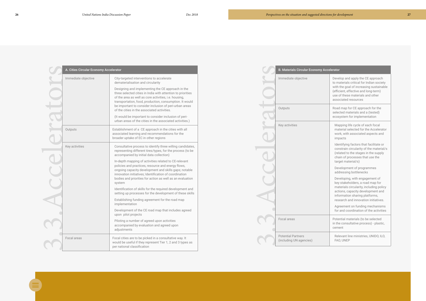| A. Cities Circular Economy Accelerator |                                                                                                                                                                                                                                                                                                                                                                                                                                                                    |  |
|----------------------------------------|--------------------------------------------------------------------------------------------------------------------------------------------------------------------------------------------------------------------------------------------------------------------------------------------------------------------------------------------------------------------------------------------------------------------------------------------------------------------|--|
| Immediate objective                    | City-targeted interventions to accelerate<br>dematerialisation and circularity                                                                                                                                                                                                                                                                                                                                                                                     |  |
|                                        | Designing and implementing the CE approach in the<br>three selected cities in India with attention to priorities<br>of the area as well as core activities, i.e. housing,<br>transportation, food, production, consumption. It would<br>be important to consider inclusion of peri-urban areas<br>of the cities in the associated activities.<br>(It would be important to consider inclusion of peri-<br>urban areas of the cities in the associated activities.) |  |
| Outputs                                | Establishment of a CE approach in the cities with all<br>associated learning and recommendations for the<br>broader uptake of EC in other regions                                                                                                                                                                                                                                                                                                                  |  |
| Key activities                         | Consultative process to identify three willing candidates,<br>representing different tires/types, for the process (to be<br>accompanied by initial data collection)                                                                                                                                                                                                                                                                                                |  |
|                                        | In-depth mapping of activities related to CE-relevant<br>policies and practices, resource and energy flows,<br>ongoing capacity development and skills gaps; notable<br>innovation initiatives; Identification of coordination<br>bodies and priorities for action as well as an evaluation<br>system                                                                                                                                                              |  |
|                                        | Identification of skills for the required development and<br>setting up processes for the development of these skills                                                                                                                                                                                                                                                                                                                                              |  |
|                                        | Establishing funding agreement for the road map<br>implementation                                                                                                                                                                                                                                                                                                                                                                                                  |  |
|                                        | Development of the CE road map that includes agreed<br>upon pilot projects                                                                                                                                                                                                                                                                                                                                                                                         |  |
|                                        | Piloting a number of agreed upon activities<br>accompanied by evaluation and agreed upon<br>adjustments                                                                                                                                                                                                                                                                                                                                                            |  |
| Focal areas                            | Focal cities are to be picked in a consultative way. It<br>would be useful if they represent Tier 1, 2 and 3 types as<br>per national classification                                                                                                                                                                                                                                                                                                               |  |

## Immediate objective **Develop and apply the CE approach** to materials critical for Indian society with the goal of increasing sustainable (efficient, effective and long-term) use of these materials and other associated resources Outputs **CE approach for the Road map for CE approach for the** selected materials and a (tested) ecosystem for implementation Key activities Mapping life cycle of each focal material selected for the Accelerator work, with associated aspects and impacts Identifying factors that facilitate or constrain circularity of the material/s (related to the stages in the supply chain of processes that use the target material/s) Development of programmes addressing bottlenecks Developing, with engagement of key stakeholders, a road map for materials circularity, including policy actions, capacity development and information sharing platforms, research and innovation initiatives. Agreement on funding mechanisms for and coordination of the activities Focal areas **Potential materials (to be selected** in the consultative process) - plastic, cement



Relevant line ministries, UNIDO, ILO, FAO, UNEP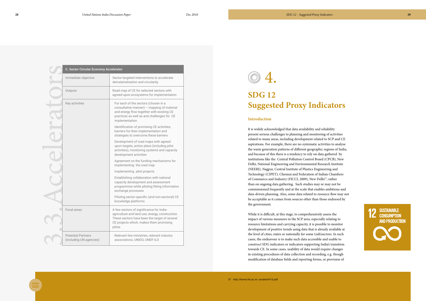| <b>C. Sector Circular Economy Accelerator</b>        |                                                                                                                                                                                                    |  |
|------------------------------------------------------|----------------------------------------------------------------------------------------------------------------------------------------------------------------------------------------------------|--|
| Immediate objective                                  | Sector-targeted interventions to accelerate<br>dematerialisation and circularity                                                                                                                   |  |
| Outputs                                              | Road map of CE for selected sectors with<br>agreed upon ecosystems for implementation                                                                                                              |  |
| Key activities                                       | For each of the sectors (chosen in a<br>consultative manner) - mapping of material<br>and energy flow together with existing CE<br>practices as well as and challenges for CE<br>implementation    |  |
|                                                      | Identification of promising CE activities,<br>barriers for their implementation and<br>strategies to overcome these barriers                                                                       |  |
|                                                      | Development of road maps with agreed<br>upon targets, action plans (including pilot<br>activities), monitoring systems and capacity<br>development activities                                      |  |
|                                                      | Agreement on the funding mechanisms for<br>implementing the road map                                                                                                                               |  |
|                                                      | Implementing pilot projects                                                                                                                                                                        |  |
|                                                      | Establishing collaboration with national<br>capacity development and assessment<br>programmes while piloting fitting information<br>exchange processes                                             |  |
|                                                      | Piloting sector-specific (and non-sectoral) CE<br>knowledge platforms                                                                                                                              |  |
| Focal areas                                          | A few sectors of significance for India -<br>agriculture and land use, energy, construction.<br>These sectors have been the target of several<br>CE projects which, makes them promising<br>pilots |  |
| <b>Potential Partners</b><br>(including UN agencies) | Relevant line ministries, relevant industry<br>associations, UNIDO, UNEP, ILO                                                                                                                      |  |

# **SDG 12 Suggested Proxy Indicators**

#### **Introduction**

It is widely acknowledged that data availability and reliability present serious challenges to planning and monitoring of activities related to many areas, including development related to SCP and CE aspirations. For example, there are no systematic activities to analyse the waste generation patterns of different geographic regions of India, and because of this there is a tendency to rely on data gathered by institutions like the Central Pollution Control Board (CPCB), New Delhi, National Engineering and Environmental Research Institute (NEERI), Nagpur, Central Institute of Plastics Engineering and Technology (CIPET), Chennai and Federation of Indian Chambers of Commerce and Industry (FICCI, 2009), New Delhi<sup>37</sup>, rather than on ongoing data gathering. Such studies may or may not be commissioned frequently and at the scale that enables ambitious and data-driven planning. Also, some data related to resource flow may not be acceptable as it comes from sources other than those endorsed by the government.

While it is difficult, at this stage, to comprehensively assess the impact of various measures in the SCP area, especially relating to resource limitations and carrying capacity, it is possible to monitor development of positive trends using data that is already available at the level of cities, states or nationally for some (sub)sectors. In such cases, the endeavour is to make such data accessible and usable to construct SDG indicators or indicators supporting India's transition towards CE. In some cases, usability of data would require changes in existing procedures of data collection and recording, e.g. though modification of database fields and reporting forms, or provision of

4.



| C. Sector Circu        |
|------------------------|
| Immediate obj          |
| Outputs                |
| Key activities         |
|                        |
|                        |
|                        |
|                        |
|                        |
|                        |
|                        |
| Focal areas            |
|                        |
| <b>Potential Partr</b> |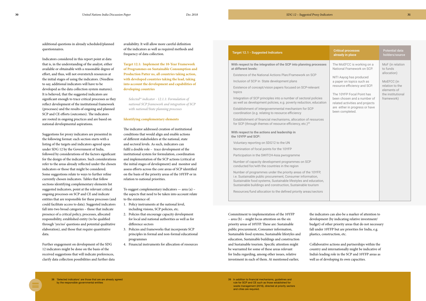<span id="page-15-0"></span>additional questions in already scheduled/planned questionnaires.

Indicators considered in this report point at data that is, in the understanding of the analyst, either available or obtainable with a reasonable degree of effort, and thus, will not overstretch resources at the initial stages of using the indicators. (Needless to say, additional indicators will have to be developed as the data collection system matures). It is believed, that the suggested indicators are significant enough to trace critical processes as they reflect development of the institutional framework (processes) and the results of ongoing and planned SCP and CE efforts (outcomes). The indicators are rooted in ongoing practices and are based on national developmental aspirations.

Suggestions for proxy indicators are presented in the following format: each section starts with a listing of the targets and indicators agreed upon under SDG 12 by the Government of India, followed by considerations of the factors significant for the design of the indicators. Such considerations refer to the areas already reflected under the chosen indicators or those that might be considered. Some suggestions relate to ways to further refine currently chosen indicators. Tables that follow sections identifying complementary elements list suggested indicators, point at the relevant critical ongoing processes on SCP and CE and indicate entities that are responsible for these processes (and could facilitate access to data). Suggested indicators fall into two broad categories – those that indicate presence of a critical policy, processes, allocated responsibility, established entity (to be qualified through 'yes/no' questions and potential qualitative elaboration), and those that require quantitative data.

Further engagement on development of the SDG 12 indicators might be done on the basis of the received suggestions that will indicate preferences, clarify data collection possibilities and further data With respect to the integration of the SCP into planning proces **at different levels:**

Integration of SCP principles into a number of sectoral policies as well as development policies, e.g. poverty reduction, educa

availability. It will allow more careful definition of the indicators as well as required methods and frequency of data collection.

**Target 12.1: Implement the 10-Year Framework of Programmes on Sustainable Consumption and Production Patter ns, all countries taking action, with developed countries taking the lead, taking into account the development and capabilities of developing countries**

*Selected38 indicator - 12.1.1: Formulation of national SCP framework and integration of SCP with national/State planning processes*

#### **Identifying complementary elements**

The indicator addressed creation of institutional conditions that would align and enable actions of different stakeholders at the national, state and sectoral levels. As such, indicators can fulfil a double role – trace development of the institutional system for formulation, coordination and implementation of the SCP actions (critical at the initial stages of development) and monitor and assess efforts across the core areas of SCP identified on the basis of the priority areas of the 10YFP or in relation to national priorities.

To suggest complementary indicators — area (a) – the aspects that need to be taken into account relate to the existence of:

- 1. Policy instruments at the national level, including visions, SCP policies, etc.
- 2. Policies that encourage capacity development for local and national authorities as well as for difference sectors
- 3. Policies and frameworks that incorporate SCP principles in formal and non-formal educational programmes
- 4. Financial instruments for allocation of resources

#### **Target 12.1 - Suggested Indicators**

Existence of the National Actions Plan/Framework on SCP

Inclusion of SCP in State development plans

Existence of concept/vision papers focused on SCP-relevant topics

Establishment of intergovernmental mechanism for SCP coordination (e.g. relating to resource efficiency

Establishment of financial mechanisms, allocation of resource for SCP (through themes of resource efficiency, etc.)<sup>39</sup>

|           | <b>Critical processes</b><br>already in place                                                                                                    | <b>Potential data</b><br>holders/source      |
|-----------|--------------------------------------------------------------------------------------------------------------------------------------------------|----------------------------------------------|
| ses       | The MoEFCC is working on a<br>National Framework on SCP.                                                                                         | MoF (in relation<br>to funds<br>allocation)  |
|           | NITI Aayog has produced<br>a paper on topics such as<br>resource efficiency and SCP.                                                             | MoEFCC (in<br>relation to the<br>elements of |
| έ<br>tion | The 10YFP Focal Point has<br>been chosen and a number of<br>related activities and projects<br>are either in progress or have<br>been completed. | the institutional<br>framework)              |
| .<br>S    |                                                                                                                                                  |                                              |
|           |                                                                                                                                                  |                                              |
|           |                                                                                                                                                  |                                              |
|           |                                                                                                                                                  |                                              |
|           |                                                                                                                                                  |                                              |
|           |                                                                                                                                                  |                                              |
| n,        |                                                                                                                                                  |                                              |
| S         |                                                                                                                                                  |                                              |
|           |                                                                                                                                                  |                                              |

**With respect to the actions and leadership in the 10YFP and SCP:**

Voluntary reporting on SDG12 to the UN

Nomination of focal points for the 10YFP

Participation in the SWITCH-Asia pwrogramme

Number of capacity development programmes on SCP conducted for/with the countries in the region

Number of programmes under the priority areas of the 10YFP, i.e. Sustainable public procurement, Consumer information, Sustainable food systems, Sustainable lifestyles and educatio Sustainable buildings and construction, Sustainable tourism

Resources/fund allocation to the defined priority areas/sector

Commitment to implementation of the 10YFP – area (b) – might focus attention on the six priority areas of 10YFP. These are: [Sustainable](http://www.unep.org/10yfp/programmes/sustainable-public-procurement)  [public procurement,](http://www.unep.org/10yfp/programmes/sustainable-public-procurement) [Consumer information](http://www.unep.org/10yfp/programmes/consumer-information), [Sustainable food systems,](http://www.unep.org/10yfp/programmes/sustainable-food-systems-programme) [Sustainable lifestyles and](http://www.unep.org/10yfp/programmes/sustainable-lifestyles-and-education-programme)  [education](http://www.unep.org/10yfp/programmes/sustainable-lifestyles-and-education-programme), [Sustainable buildings and construction](http://www.unep.org/10yfp/programmes/sustainable-buildings-and-construction-programme)  and [Sustainable tourism](http://www.unep.org/10yfp/programmes/sustainable-tourism-programme). Specific attention might be warranted for some of these areas relevant for India regarding, among other issues, relative investment in each of them. At mentioned earlier,

the indicators can also be a marker of attention to development (by indicating relative investment/ budget) of other priority areas that do not necessary fall under 10YFP but are priorities for India, e.g. plastics, construction, etc.

Collaborative actions and partnerships within the country and internationally might be indicative of India's leading role in the SCP and 10YFP areas as well as of developing its own capacities.

39 In addition to financial mechanisms, guidelines and rule for SCP and CE such as those established for waste management (2016), directed at priority sectors and cities are required.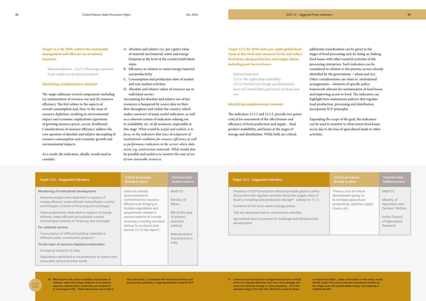<span id="page-16-0"></span>**Target 12.2: By 2030, achieve the sustainable management and efficient use of natural resources**

*Selected indicator - 12.2.1: Percentage variation in per capita use of natural resources*

#### **Identifying complementary elements**

The target addresses several components including (a) minimization of resource use and (b) resource efficiency. The first relates to the aspects of overall consumption and, thus, to the issue of resource depletion, resulting in environmental impact and economic implications (questions of growing resource prices, access, livelihood). Considerations of resource efficiency address the core question of absolute and relative decoupling of resource consumption and economic growth and environmental impacts.

As a result, the indicators, ideally, would need to consider:

- A. Absolute and relative (i.e. per capita) value of material use/material, water and energy footprint at the level of the country/individual states
- B. Efficiency in relation to water/energy/material use/productivity
- C. Consumption and production sides of market and non-market activities
- D. Absolute and relative values of resource use in individual sectors

Accounting for absolute and relative use of key resources is hampered by scarce data on their flow throughout and within the country, which makes construct of many useful indicators, as well as a coherent system of indicators relating use to availability, etc. of all resources, impossible at this stage. *What would be useful and realistic is to focus on the indicators that trace development of institutional conditions for resource efficiency as well as performance indicators in the sectors where data exists*, e.g. *construction materials.* What would also be possible and useful is to *monitor the state of use of non-renewable resources*.

> Presence of SCP/production efficiency/waste goals in policy documents that regulate activities along the supply chain of food/s, including post-production storage<sup>41</sup> (related to 12.1)

#### **Target 12.2 - Suggested indicators Critical processes already in place Potential data holders/source Monitoring of institutional development:** National programmes dedicated to support of energy-efficient, water-efficient and pollution control technologies (volume of financing and coverage) State programmes dedicated to support of energyefficient, water-efficient and pollution control technologies (volume of financing and coverage) **For selected sectors:** Consumption of different building materials in different public construction projects<sup>40</sup> **On the topic of resource depletion/restoration:** Ecological footprint of India Regulations attributed to the protection of scarce nonrenewable resources (river sand) India has already demonstrated its commitment to resource efficiency by bringing in multiple regulations and programmes related to various aspects of circular economy, including standard setting for products (see section 2.3 of the report). MoEFCC Ministry of Mines BIS (in the area of product standard setting) Manufacturers' Associations in India

## **Target 12.3 - Suggested indicators**

Existence of the food waste strategy/policy

Top soil destroyed due to construction activities

| <b>Critical processes</b><br>already in place                                                                                   | <b>Potential data</b><br>holders/source                                                                       |
|---------------------------------------------------------------------------------------------------------------------------------|---------------------------------------------------------------------------------------------------------------|
| There is a lot of critical<br>development going on<br>to increase agricultural<br>productivity, optimise supply<br>chains, etc. | MoEFCC<br>Ministry of<br>Agriculture and<br>Farmers' Welfare<br>Indian Council<br>of Agricultural<br>Research |

Agricultural land conversion for buildings and infrastructure development

### **Target 12.3: By 2030, halve per capita global food waste at the retail and consumer levels and reduce food losses along production and supply chains, including post-harvest losses**

#### *Selected indicators*

*12.3.1: Per capita food availability 12.3.2: Post-harvest storage and distribution losses of Central/States pool stocks of wheat and rice*

#### **Identifying complementary elements**

The indicators 12.3.1 and 12.3.2. provide two points critical for assessment of the effectiveness and efficiency of food production and supply – final product availability, and losses at the stages of storage and distribution. While both are critical,

additional consideration can be given to the stages of food processing and, by doing so, linking food losses with other wasteful activities of the processing enterprises. Such indicators can be considered in relation to the priority sectors already identified by the government – wheat and rice. Other considerations can relate to institutional arrangements – elements of specific policy framework relevant for minimisation of food losses and improving access to food. The indicators can highlight how mainstream policies that regulate food production, processing and distribution incorporate SCP principles.

Expanding the scope of the goal, the indicators can be used to monitor to what extent food losses occur due to the loss of agricultural lands to other activities.

40 Mechanisms that call for mandatory disclosures of material, water and energy footprints of all projects beyond a defined size in production and projected in-use stages of life. These disclosures would add to 41 Creation of post-production storage infrastructure is critical, some of it requires electricity such as in cold-storages and some of it could be through on-site processing - all of this requires energy at the last mile. While this could be linked

data and would, if connected with financial incentives and procurement guidelines, nudge development towards SCP

to Goal 8 and Goal 2, waste minimization in this sector would benefit hugely from post production processing facilities at the village level with decentralized energy, thus resulting in multiple benefits.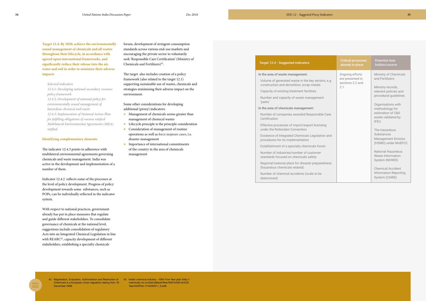<span id="page-17-0"></span>**Target 12.4: By 2020, achieve the environmentally sound management of chemicals and all wastes throughout their lifecycle, in accordance with agreed upon international frameworks, and significantly reduce their release into the air, water and soil in order to minimise their adverse impacts** 

#### *Selected indicators*

*12.4.1: Developing national secondary resource policy framework 12.4.2: Development of national policy for environmentally sound management of hazardous chemical and waste 12.4.3: Implemention of National Action Plan for fulfilling obligations of various ratified Multilateral Environmental Agreements (MEA) ratified*

#### **Identifying complementary elements**

The indicator 12.4.3 points to adherence with multilateral environmental agreements governing chemicals and waste management. India was active in the development and implementation of a number of them.

Indicator 12.4.2 reflects some of the processes at the level of policy development. Progress of policy development towards some substances, such as POPs, can be individually reflected in the indicator system.

- Management of chemicals seems greater than management of chemical wastes
- $\bullet$  Lifecycle principle is the principle consideration
- **Consideration of management of routine** operations as well as force majeure cases, i.e. disaster management
- $\bullet$  Importance of international commitments of the country in the area of chemicals management

#### **Target 12.4 - Suggested indicators**

Volume of generated waste in the key sectors construction and demolition, scrap metals

With respect to national practices, government already has put in place measures that regulate and guide different stakeholders. To consolidate governance of chemicals at the national level, suggestions include consolidation of regulatory Acts into an Integrated Chemical Legislation in line with REARC<sup>42</sup>, capacity development of different stakeholders, establishing a specialty chemicals

Number and capacity of waste managemer 'parks'

Number of companies awarded Responsible Certification

Effective processes of import/export licensi under the Rotterdam Convention

Existence of Integrated Chemicals Legislation procedures for its implementation

Establishment of a specialty chemicals for

Regional/national plans for disaster prepare (hazardous chemicals related)

forum, development of stringent consumption standards across various end-use markets and encouraging the private sector to voluntarily seek 'Responsible Care Certification' (Ministry of Chemicals and Fertilizers)43.

The target also includes creation of a policy framework (also related to the target 12.1) supporting sustainable use of wastes, chemicals and strategies minimising their adverse impact on the environment.

Some other considerations for developing additional (proxy) indicators:

#### **In the area of waste management:**

Capacity of existing treatment facilities

#### **In the area of chemicals management:**

|               | <b>Critical processes</b><br>already in place           | <b>Potential data</b><br>holders/source                                    |
|---------------|---------------------------------------------------------|----------------------------------------------------------------------------|
| ors, e.g.     | Ongoing efforts<br>are presented in<br>sections 2.2 and | Ministry of Chemicals<br>and Fertilizers                                   |
| ۱t            | 2.1.                                                    | Ministry records,<br>relevant policies and<br>procedural guidelines        |
|               |                                                         | Organisations with<br>methodology for                                      |
| e Care<br>ing |                                                         | estimation of C&D<br>waste validated by<br>IFEU.                           |
| on and        |                                                         | The Hazardous<br>Substances<br><b>Management Division</b>                  |
| ım            |                                                         | (HSMD) under MoEFCC                                                        |
|               |                                                         | National Hazardous<br>Waste Information<br>System (NHWIS)                  |
| edness        |                                                         | <b>Chemical Accident</b><br><b>Information Reporting</b><br>System (CAIRS) |

Number of industries/number of customer standards focused on chemicals safety

Number of chemical accidents (scale to be determined)

 Chemicals is a European Union regulation dating from 18 December 2006

42 Registration, Evaluation, Authorisation and Restriction of 43 Indian chemical industry – XIIth Five-Year plan (http:// chemicals.nic.in/sites/default/files/XIIth%20Five%20 Year%20Plan-Yr%202011\_0.pdf)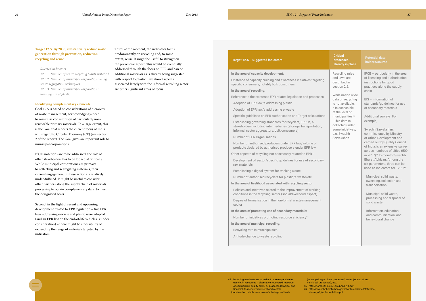#### **Target 12.5 - Suggested indicators**

#### **In the area of capacity development:**

Existence of capacity building and awareness initiatives targeting specific consumers, notably bulk consumers

#### **In the area of recycling:**

Reference to the existence EPR-related legislation and processe

Adoption of EPR law/s addressing plastic

Adoption of EPR law/s addressing e-waste

Specific guidelines on EPR Authorisation and Target calculations

Development of sector/specific guidelines for use of secondary raw materials

Establishing governing standards for recyclers, EPROs, all stakeholders including intermediaries (storage, transportation, informal sector aggregators, bulk consumers)

Number of EPR Organisations

Number of authorised producers under EPR law/volume of products declared by authorised producers under EPR law

Other aspects of recycling not necessarily related to EPR -

Establishing a digital system for tracking waste

Number of authorised recyclers for plastic/e-waste/etc.

#### **In the area of livelihood associated with recycling sector:**

Policies and initiatives related to the improvement of working conditions in the recycling sector (social/livelihood aspect)

Degree of formalisation in the non-formal waste management sector

|          | <b>Critical</b><br><b>processes</b><br>already in place                              | <b>Potential data</b><br>holders/source                                                                                                                                                                                                                                                                                       |
|----------|--------------------------------------------------------------------------------------|-------------------------------------------------------------------------------------------------------------------------------------------------------------------------------------------------------------------------------------------------------------------------------------------------------------------------------|
| ηg<br>S: | Recycling rules<br>and laws are<br>described in<br>section 2.2.<br>While nation-wide | $IPCB$ – particularly in the area<br>of licencing and authorisation,<br>instructions for good<br>practices along the supply<br>chain<br>BIS - information of                                                                                                                                                                  |
|          | data on recycling<br>is not available,<br>it is accessible<br>at the level of        | standards/guidelines for use<br>of secondary materials                                                                                                                                                                                                                                                                        |
| ns       | municipalities <sup>45</sup><br>. This data is<br>collected under                    | Additional surveys. For<br>example,                                                                                                                                                                                                                                                                                           |
|          | some initiatives,<br>e.g. Swachh<br>Sarvekshan.                                      | Swachh Sarvekshan,<br>commissioned by Ministry<br>of Urban Development and<br>carried out by Quality Council<br>of India, is an extensive survey<br>across hundreds of cities (500<br>in 2017) <sup>46</sup> to monitor Swachh<br>Bharat Abhiyan. Among the<br>six parameters, three can be<br>used as indicators for 12.5.2: |
|          |                                                                                      | Municipal solid waste,<br>sweeping, collection and<br>transportation                                                                                                                                                                                                                                                          |
|          |                                                                                      | Municipal solid waste,<br>processing and disposal of<br>solid waste                                                                                                                                                                                                                                                           |
|          |                                                                                      | Information, education<br>and communication, and<br>behavioural change                                                                                                                                                                                                                                                        |
|          |                                                                                      |                                                                                                                                                                                                                                                                                                                               |

**In the area of promoting use of secondary materials:**

Number of initiatives promoting resource efficiency<sup>44</sup>

**In the area of municipal recycling:**

Recycling rate in municipalities

Attitude change to waste recycling

46 [http://swachhbharaturban.gov.in/writereaddata/Statewise\\_](http://swachhbharaturban.gov.in/writereaddata/Statewise_status_of_implementation.pdf) status of implementation.pdf

#### <span id="page-18-0"></span>**Target 12.5: By 2030, substantially reduce waste generation through prevention, reduction, recycling and reuse**

#### *Selected indicators*

*12.5.1: Number of waste recycling plants installed 12.5.2: Number of municipal corporations using waste segregation techniques 12.5.3: Number of municipal corporations banning use of plastic*

#### **Identifying complementary elements**

Goal 12.5 is based on considerations of hierarchy of waste management, acknowledging a need to minimise consumption of particularly nonrenewable primary materials. To a large extent, this is the Goal that reflects the current focus of India with regard to Circular Economy (CE) (see section 2 of the report). The Goal gives an important role to municipal corporations.

If CE ambitions are to be addressed, the role of other stakeholders has to be looked at critically. While municipal corporations are primary to collecting and segregating materials, their current engagement in these actions is relatively under-fulfilled. It might be useful to consider other partners along the supply chain of materials processing to obtain complementary data to meet the designated goals.

Second, in the light of recent and upcoming development related to EPR legislation – two EPR laws addressing e-waste and plastic were adopted (and an EPR law on the end-of-life vehicles is under consideration) – there might be a possibility of expanding the range of materials targeted by the indicators.

Third, at the moment, the indicators focus predominantly on recycling and, to some extent, reuse. It might be useful to strengthen the preventive aspect. This would be eventually addressed through the focus on EPR and ban on additional materials as is already being suggested with respect to plastic. Livelihood aspects associated largely with the informal recycling sector are other significant areas of focus.

> 44 Including mechanisms to make it more expensive to use virgin resources if alternative recovered resource of comparable quality exist, e. g. access (physical and financial) to recovered mineral and metals (construction, electronics, manufacturing), nutrients

municipal processes), etc.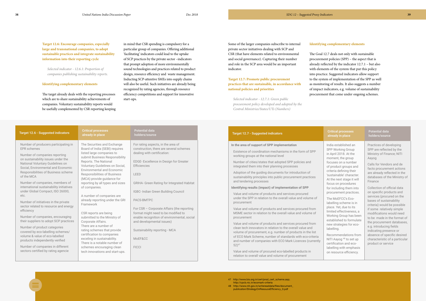| <b>Target 12.6 - Suggested indicators</b>                                                                                                                                                          | <b>Critical processes</b><br>already in place                                                                                                                                                                                     | <b>Potential data</b><br>holders/source                                                                         |
|----------------------------------------------------------------------------------------------------------------------------------------------------------------------------------------------------|-----------------------------------------------------------------------------------------------------------------------------------------------------------------------------------------------------------------------------------|-----------------------------------------------------------------------------------------------------------------|
| Number of producers participating in<br>FPR schemes                                                                                                                                                | The Securities and Exchange<br>Board of India (SEBI) requires                                                                                                                                                                     | For rating aspects, in the area of<br>construction, there are several schemes                                   |
| Number of companies reporting<br>on sustainability issues under the<br>National Voluntary Guidelines on<br>Social, Environmental and Economic<br>Responsibilities of Business scheme<br>of the MCA | listed large companies to<br>submit Business Responsibility<br>Reports. The National<br>Voluntary Guidelines on Social,<br><b>Environmental and Economic</b><br><b>Responsibilities of Business</b><br>(MCA) provide guidance for | dealing with certification:<br>EDGE-Excellence in Design for Greater<br>Efficiencies<br>LEED                    |
| Number of companies, members of<br>international sustainability initiatives<br>under Global Compact, ISO 26000,                                                                                    | reporting by all types and sizes<br>of companies.                                                                                                                                                                                 | <b>GRIHA- Green Rating for Integrated Habitat</b><br>IGBC- Indian Green Building Council                        |
| etc.<br>Number of initiatives in the private<br>sector related to resource and energy<br>efficiency                                                                                                | A number of companies are<br>already reporting under the GRI<br>Framework                                                                                                                                                         | PACS-BMTPC<br>For CSR - Corporate Affairs (the reporting                                                        |
| Number of companies, encouraging<br>their suppliers to adopt SCP practices                                                                                                                         | CSR reports are being<br>submitted to the Ministry of<br>Corporate Affairs.                                                                                                                                                       | format might need to be modified to<br>enable recognition of environmental, social<br>and developmental issues) |
| Number of product categories<br>covered by eco-labelling schemes/<br>volume & value of eco-labelled<br>products independently verified                                                             | There are a number of<br>rating schemes that provide<br>certification to companies<br>exceling in sustainability.<br>There is a notable number of                                                                                 | Sustainability reporting - MCA<br>MoEF&CC                                                                       |
| Number of companies in different<br>sectors certified by rating agencie                                                                                                                            | schemes encouraging clean<br>tech innovations and start-ups.                                                                                                                                                                      | <b>FICCI</b>                                                                                                    |

## **Target 12.7 - Suggested indicators Critical processes**

## **already in place**

#### **Potential data holders/source**

#### **In the area of support of SPP implementation**

Existence of coordination mechanisms in the form of SPP working groups at the national level

Number of cities/states that adopted SPP policies and integrated them into their planning processes

Adoption of the guiding documents for introduction of sustainability principles into public procurement practices and tendering processes

#### **Identifying results (impact) of implementation of SPP**

Value and volume of products and services procured under the SPP in relation to the overall value and volume of procurement

Value and volume of products and services procured from MSME sector in relation to the overall value and volume of procurement

Value and volume of products and services procured from clean tech innovators in relation to the overall value and volume of procurement, e.g. number of products in the list of ECO Mark Scheme, number of standards with eco-criteria and number of companies with ECO Mark Licences (currently 52)47

Value and volume of procured eco-labelled products in relation to overall value and volume of procurement

India established an SPP Working Group in April 2018. At the moment, the group focuses on a number of product groups and criteria defining their 'sustainable' character. At the next stage it will focus on procedures for including them into procurement practices.

The MoEFCC's Ecolabelling scheme is in place. Yet, due to its limited effectiveness, a Working Group has been established to formulate new strategies for ecolabelling.

Recommendations from NITI Aayog<sup>48</sup> to set up certification and ecolabelling with emphasis on resource efficiency.

Practices of developing SPP are reflected by the Ministry of Finance; NITI Aayog

Calls for Vendors and de facto procurement actions are already reflected in the databases of the Ministry of Finance

Collection of official data on specific products and services (procured on the bases of sustainability criteria) would be possible if some relatively simple modifications would need to be made in the format of the procurement databases, e.g. introducing fields indicating presence or absence of specific desired characteristic of a particular product or service

<span id="page-19-0"></span>**Target 12.6: Encourage companies, especially large and transnational companies, to adopt sustainable practices and integrate sustainability information into their reporting cycle**

*Selected indicator - 12.6.1: Proportion of companies publishing sustainability reports.*

#### **Identifying complementary elements**

The target already deals with the reporting processes which are to share sustainability achievements of companies. Voluntary sustainability reports would be usefully complemented by CSR reporting keeping

#### Some of the larger companies subscribe to internal private sector initiatives dealing with SCP and CSR (that have elements related to environmental and social governance). Capturing their number and role in the SCP area would be an important indicator.

### **Target 12.7: Promote public procurement practices that are sustainable, in accordance with national policies and priorities**

*Selected indicator - 12.7.1: Green public procurement policy developed and adopted by the Central Ministries/States/UTs (Numbers)*

in mind that CSR spending is compulsory for a particular group of companies. Offering additional 'facilitating' indicators could lead to the uptake of SCP practices by the private sector –indicators that prompt adoption of more environmentally sound technologies and practices related to product design, resource efficiency and waste management. Inducting SCP-attentive SMEs into supply chains will also be useful. Such initiatives are already being recognized by rating agencies, through resource efficiency competitions and support for innovative start-ups.

#### **Identifying complementary elements**

The Goal 12.7 deals not only with sustainable procurement policies (SPP) – the aspect that is already reflected by the indicator 12.7.1 – but also with elements of the system that put this policy into practice. Suggested indicators allow support to the system of implementation of the SPP as well as monitoring of results. It also suggests a number of impact indicators, e.g. volume of sustainability procurement that come under ongoing schemes.

- 47 [http://www.bis.org.in/cert/prod\\_cert\\_scheme.asp;](http://www.bis.org.in/cert/prod_cert_scheme.asp) http://cpcb.nic.in/ecomark-criteria
- 48 http://www.niti.gov.in/writereaddata/files/document\_ publication/StrategyOnResouceEfficiency\_0.pdf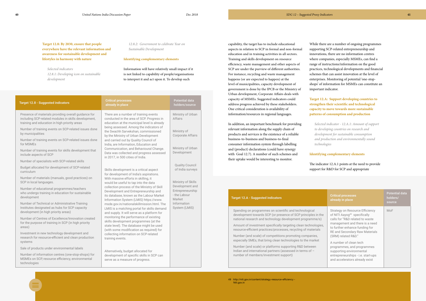| <b>Target 12.8 - Suggested indicators</b>                                                                                                                     | <b>Critical processes</b><br>already in place                                                                                                                                                                                                                                                                                                                                                                              | <b>Potential data</b><br>holders/source                       |
|---------------------------------------------------------------------------------------------------------------------------------------------------------------|----------------------------------------------------------------------------------------------------------------------------------------------------------------------------------------------------------------------------------------------------------------------------------------------------------------------------------------------------------------------------------------------------------------------------|---------------------------------------------------------------|
| Presence of materials providing overall guidance for<br>including SCP-related modules in skills development,<br>training and education in high priority areas | There are a number of training events<br>conducted in the area of SCP. Progress in<br>education at the municipal level is already                                                                                                                                                                                                                                                                                          | Ministry of Urban<br><b>Affairs</b>                           |
| Number of training events on SCP-related issues done<br>by municipalities                                                                                     | being assessed. Among the indicators of<br>the Swachh Sarvekshan, commissioned<br>by the Ministry of Urban Development                                                                                                                                                                                                                                                                                                     | Ministry of<br><b>Corporate Affairs</b>                       |
| Number of training events on SCP-related issues done<br>for MSMEs                                                                                             | and carried out by Quality Council of<br>India, are Information, Education and                                                                                                                                                                                                                                                                                                                                             |                                                               |
| Number of training events for skills development that<br>include aspects of SCP                                                                               | Communication, and Behavioural Change.<br>Data was collected and progress assessed<br>in 2017, in 500 cities of India.                                                                                                                                                                                                                                                                                                     | Ministry of Urban<br>Development                              |
| Number of specialists with SCP-related skills                                                                                                                 |                                                                                                                                                                                                                                                                                                                                                                                                                            |                                                               |
| Budget allocated for development of SCP-related<br>curriculum                                                                                                 | Skills development is a critical aspect<br>for development of India's aspirations.                                                                                                                                                                                                                                                                                                                                         | <b>Quality Council</b><br>of India surveys                    |
| Number of materials (manuals, good practices) on<br>SCP in local languages.                                                                                   | With massive efforts in skilling, it<br>would be useful to tap into the data                                                                                                                                                                                                                                                                                                                                               | Ministry of Skills                                            |
| Number of educational programmes/teachers<br>who undergo training in education for sustainable<br>development                                                 | collection process of the Ministry of Skill<br>Development and Entrepreneurship and<br>its database, known as the Labour Market                                                                                                                                                                                                                                                                                            | Development and<br>Entrepreneurship<br>- the Labour<br>Market |
| Number of Technical or Administrative Training<br>Institutes designated as hubs for SCP capacity<br>development (in high priority areas)                      | Information System (LMIS) https://www.<br>msde.gov.in/nationalskillmission.html. The<br>LMIS is a matching portal for skills demand<br>and supply. It will serve as a platform for<br>monitoring the performance of existing<br>skills development programmes (at the<br>state level). The database might be used<br>(with some modification as required) for<br>collecting information on SCP-related<br>training events. | Information<br>System (LMIS)                                  |
| Number of Centres of Excellence/Innovation created<br>for the purpose of training in SCP (in high priority<br>areas)                                          |                                                                                                                                                                                                                                                                                                                                                                                                                            |                                                               |
| Investment in new technology development and<br>research for resource-efficient and clean production<br>systems                                               |                                                                                                                                                                                                                                                                                                                                                                                                                            |                                                               |
| Sale of products under environmental labels                                                                                                                   |                                                                                                                                                                                                                                                                                                                                                                                                                            |                                                               |
| Number of information centres (one-stop-shops) for<br>MSMEs on SCP, resource efficiency, environmental<br>technologies                                        | Alternatively, budget allocated for<br>development of specific skills in SCP can<br>serve as a measure of progress.                                                                                                                                                                                                                                                                                                        |                                                               |

<span id="page-20-0"></span>**Target 12.8: By 2030, ensure that people everywhere have the relevant information and awareness for sustainable development and lifestyles in harmony with nature**

> Amount of investment specifically targeting clean technologies resource-efficient practices/processes, recycling of materials

*Selected indicators 12.8.1: Developing icon on sustainable development*

*12.8.2: Government to celebrate Year on Sustainable Development*

#### **Identifying complementary elements**

Information will have relatively small impact if it is not linked to capability of people/organisations to interpret it and act upon it. To develop such

> 49 <http://niti.gov.in/content/strategy-resource-efficiency>- Niti.gov.in

capability, the target has to include educational aspects in relation to SCP in formal and non-formal education and in training activities in all sectors. Training and skills development on resource efficiency, waste management and other aspects of SCP are under the purview of different authorities. For instance, recycling and waste management happens (or are expected to happen) at the level of municipalities, capacity development of government is done by the IPCB or the Ministry of Urban development, Corporate Affairs deals with capacity of MSMEs. Suggested indicators could address progress achieved by these stakeholders. One critical consideration is availability of information/resources in regional languages.

In addition, an important benchmark for providing relevant information along the supply chain of products and services is the existence of a reliable business-to-business and business-to-final consumer information system through labelling and (product) declarations (could have synergy with Goal 12.7). A number of such schemes and their uptake would be interesting to monitor.

#### **Target 12.A - Suggested indicators**

While there are a number of ongoing programmes supporting SCP-related entrepreneurship and innovations, there are no information centres where companies, especially MSMEs, can find a range of instructions/information on the good practices, technological developments and financial schemes that can assist innovation at the level of enterprises. Monitoring of potential 'one-stopshops' of information for MSMEs can constitute an important indicator.

**Target 12.A: Support developing countries to strengthen their scientific and technological capacity to move towards more sustainable patterns of consumption and production** 

*Selected indicator - 12.A.1: Amount of support to developing countries on research and development for sustainable consumption and production and environmentally sound technologies*

#### **Identifying complementary elements**

The indicator 12.A.1 points at the need to provide support for R&D for SCP and appropriate

Spending on programmes on scientific and technological development towards SCP (or presence of SCP principles in the national research and technology development programme/s)

Number (and scale) of competitions promoting companies, especially SMEs, that bring clean technologies to the market

|                  | <b>Critical processes</b><br>already in place                                                                                                                                                                                                      | <b>Potential data</b><br>holders/<br>source |
|------------------|----------------------------------------------------------------------------------------------------------------------------------------------------------------------------------------------------------------------------------------------------|---------------------------------------------|
| $\epsilon$<br>S, | Strategy on Resource Efficiency<br>of NITI Aayog <sup>49</sup> specifically<br>calls for "R&D related to waste<br>management and there is a need<br>to further enhance funding for<br><b>RE and Secondary Raw Materials</b><br>(SRM) related R&D." | MoF                                         |
|                  | A number of clean tech<br>programmes, and programmes<br>supporting environmental<br>entrepreneurships - i.e. start-ups<br>and accelerators already exist                                                                                           |                                             |

Number (and scale) or platforms supporting R&D between Indian and international partners (assessed in terms of – number of members/investment support)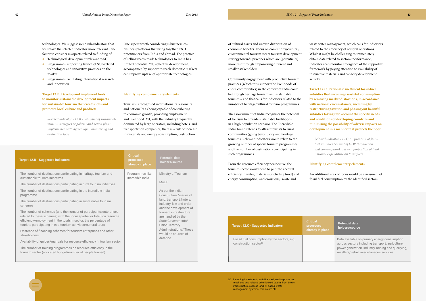| <b>Target 12.B - Suggested indicators</b>                                                                                                                                                                                                                                                                                                                                                                                                                                                                                                                                                                                                                                                                                                                                                                                                                                                                                         | <b>Critical</b><br><b>processes</b><br>already in place | <b>Potential data</b><br>holders/source                                                                                                                                                                                                                                                                                      |
|-----------------------------------------------------------------------------------------------------------------------------------------------------------------------------------------------------------------------------------------------------------------------------------------------------------------------------------------------------------------------------------------------------------------------------------------------------------------------------------------------------------------------------------------------------------------------------------------------------------------------------------------------------------------------------------------------------------------------------------------------------------------------------------------------------------------------------------------------------------------------------------------------------------------------------------|---------------------------------------------------------|------------------------------------------------------------------------------------------------------------------------------------------------------------------------------------------------------------------------------------------------------------------------------------------------------------------------------|
| The number of destinations participating in heritage tourism and<br>sustainable tourism initiatives<br>The number of destinations participating in rural tourism initiatives<br>The number of destinations participating in the Incredible India<br>programme<br>The number of destinations participating in sustainable tourism<br>schemes<br>The number of schemes (and the number of participants/enterprises<br>related to these schemes) with the focus (partial or total) on resource<br>efficiency/employment in the tourism sector; the percentage of<br>tourists participating in eco-tourism activities/cultural tours<br>Existence of financing schemes for tourism enterprises and other<br>stakeholders<br>Availability of guides/manuals for resource efficiency in tourism sector<br>The number of training programmes on resource efficiency in the<br>tourism sector (allocated budget/number of people trained) | Programmes like<br>Incredible India                     | Ministry of Tourism<br>MoET<br>As per the Indian<br>Constitution, "issues of<br>land, transport, hotels,<br>industry, law and order<br>and the development of<br>tourism infrastructure<br>are handled by the<br>State Governments/<br><b>Union Territory</b><br>Administrations." These<br>would be sources of<br>data too. |

| <b>Target 12.C - Suggested indicators</b>                                         | <b>Critical</b><br><b>processes</b><br>already in place | <b>Potential data</b><br>holders/source                                                                                                                                                           |
|-----------------------------------------------------------------------------------|---------------------------------------------------------|---------------------------------------------------------------------------------------------------------------------------------------------------------------------------------------------------|
| Fossil fuel consumption by the sectors, e.g.<br>construction sector <sup>50</sup> |                                                         | Data available on primary energy consumption<br>across sectors including transport, agriculture,<br>power generation, industry, mining and quarrying,<br>resellers/retail, miscellaneous services |

50 Including investment portfolios designed to phase out fossil use and release other locked capital from brown infrastructure such as land-fill based waste management systems, real-estate etc.

**Target 12.B: Develop and implement tools to monitor sustainable development impacts for sustainable tourism that creates jobs and promotes local culture and products**

*Selected indicator - 12.B.1: Number of sustainable tourism strategies or policies and action plans implemented with agreed upon monitoring and evaluation tools*

#### **Identifying complementary elements**

Tourism is recognised internationally regionally and nationally as being capable of contributing to economic growth, providing employment and livelihood. Yet, with the industry frequently dominated by large operators, including hotels and transportation companies, there is a risk of increase in materials and energy consumption, destruction

- **•** Technological development relevant to SCP
- **•** Programmes supporting launch of SCP-related technologies and innovative practices on the market
- **•** Programmes facilitating international research and innovation

of cultural assets and uneven distribution of economic benefits. Focus on community/cultural/ environmental tourism steers tourism development strategy towards practices which are (potentially) more just through empowering different and smaller stakeholders.

Community engagement with productive tourism practices (which thus support the livelihoods of entire communities) in the context of India could be through heritage tourism and sustainable tourism – and that calls for indicators related to the number of heritage/cultural tourism programmes.

The Government of India recognises the potential of tourism to provide sustainable livelihoods in a high population scenario. The 'Incredible India' brand intends to attract tourists to rural communities (going beyond city and heritage tourism). Relevant indicators would relate to the growing number of special tourism programmes and the number of destinations participating in such programmes.

From the resource efficiency perspective, the tourism sector would need to put into account efficiency in water, materials (including food) and energy consumption, and emissions, waste and

waste water management, which calls for indicators related to the efficiency of sectoral operations. While it might be challenging to immediately obtain data related to sectoral performance, indicators can monitor emergence of the supportive framework by paying attention to availability of instructive materials and capacity development

activity.

**Target 12.C: Rationalse inefficient fossil-fuel subsidies that encourage wasteful consumption by removing market distortions, in accordance with national circumstances, including by restructuring taxation and phasing out harmful subsidies taking into account the specific needs and conditions of developing countries and minimising the possibility of adverse impacts on development in a manner that protects the poor.** 

*Selected indicator - 12.C.1: Quantum of fossilfuel subsidies per unit of GDP (production and consumption) and as a proportion of total national expenditure on fossil fuels*

#### **Identifying complementary elements**

An additional area of focus would be assessment of fossil fuel consumption by the identified sectors

<span id="page-21-0"></span>technologies. We suggest some sub-indicators that will make the selected indicator more relevant. One factor to consider is aspects related to funding of:

One aspect worth considering is business-tobusiness platforms that bring together R&D practitioners from India and abroad. The practice of selling ready-made technologies to India has limited potential. Yet, collective development, accompanied by support to reach domestic markets can improve uptake of appropriate technologies.